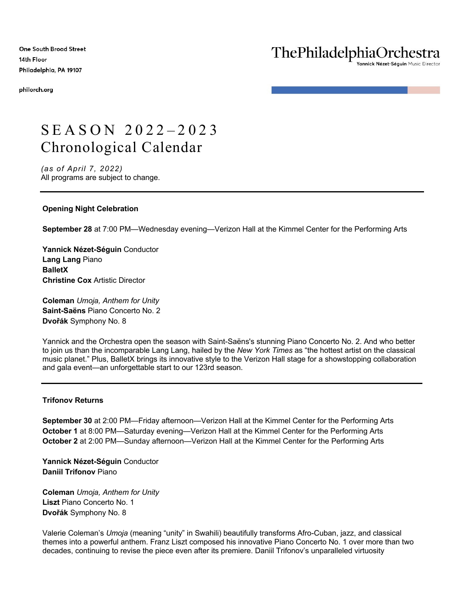**One South Broad Street** 14th Floor Philadelphia, PA 19107

philorch.org

# ThePhiladelphiaOrchestra

Yannick Nézet-Séguin Music Director

# SEASON 2022-2023 Chronological Calendar

*(as of April 7, 2022)* All programs are subject to change.

# **Opening Night Celebration**

**September 28** at 7:00 PM—Wednesday evening—Verizon Hall at the Kimmel Center for the Performing Arts

**Yannick Nézet-Séguin** Conductor **Lang Lang** Piano **BalletX Christine Cox** Artistic Director

**Coleman** *Umoja, Anthem for Unity* **Saint-Saëns** Piano Concerto No. 2 **Dvořák** Symphony No. 8

Yannick and the Orchestra open the season with Saint-Saëns's stunning Piano Concerto No. 2. And who better to join us than the incomparable Lang Lang, hailed by the *New York Times* as "the hottest artist on the classical music planet." Plus, BalletX brings its innovative style to the Verizon Hall stage for a showstopping collaboration and gala event—an unforgettable start to our 123rd season.

# **Trifonov Returns**

**September 30** at 2:00 PM—Friday afternoon—Verizon Hall at the Kimmel Center for the Performing Arts **October 1** at 8:00 PM—Saturday evening—Verizon Hall at the Kimmel Center for the Performing Arts **October 2** at 2:00 PM—Sunday afternoon—Verizon Hall at the Kimmel Center for the Performing Arts

**Yannick Nézet-Séguin** Conductor **Daniil Trifonov** Piano

**Coleman** *Umoja, Anthem for Unity* **Liszt** Piano Concerto No. 1 **Dvořák** Symphony No. 8

Valerie Coleman's *Umoja* (meaning "unity" in Swahili) beautifully transforms Afro-Cuban, jazz, and classical themes into a powerful anthem. Franz Liszt composed his innovative Piano Concerto No. 1 over more than two decades, continuing to revise the piece even after its premiere. Daniil Trifonov's unparalleled virtuosity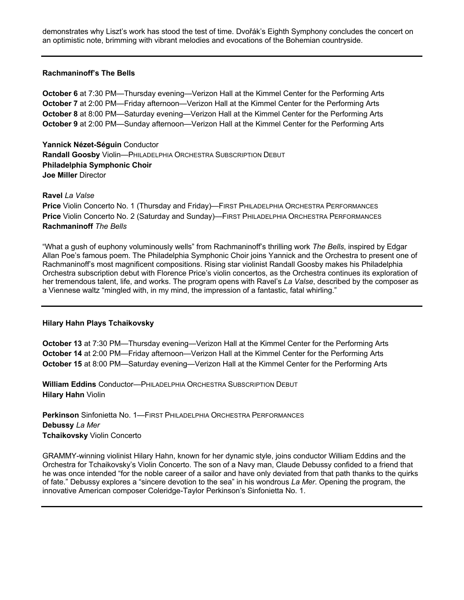demonstrates why Liszt's work has stood the test of time. Dvořák's Eighth Symphony concludes the concert on an optimistic note, brimming with vibrant melodies and evocations of the Bohemian countryside.

## **Rachmaninoff's The Bells**

**October 6** at 7:30 PM—Thursday evening—Verizon Hall at the Kimmel Center for the Performing Arts **October 7** at 2:00 PM—Friday afternoon—Verizon Hall at the Kimmel Center for the Performing Arts **October 8** at 8:00 PM—Saturday evening—Verizon Hall at the Kimmel Center for the Performing Arts **October 9** at 2:00 PM—Sunday afternoon—Verizon Hall at the Kimmel Center for the Performing Arts

**Yannick Nézet-Séguin** Conductor **Randall Goosby** Violin—PHILADELPHIA ORCHESTRA SUBSCRIPTION DEBUT **Philadelphia Symphonic Choir Joe Miller** Director

**Ravel** *La Valse*

**Price** Violin Concerto No. 1 (Thursday and Friday)—FIRST PHILADELPHIA ORCHESTRA PERFORMANCES **Price** Violin Concerto No. 2 (Saturday and Sunday)—FIRST PHILADELPHIA ORCHESTRA PERFORMANCES **Rachmaninoff** *The Bells*

"What a gush of euphony voluminously wells" from Rachmaninoff's thrilling work *The Bells*, inspired by Edgar Allan Poe's famous poem. The Philadelphia Symphonic Choir joins Yannick and the Orchestra to present one of Rachmaninoff's most magnificent compositions. Rising star violinist Randall Goosby makes his Philadelphia Orchestra subscription debut with Florence Price's violin concertos, as the Orchestra continues its exploration of her tremendous talent, life, and works. The program opens with Ravel's *La Valse*, described by the composer as a Viennese waltz "mingled with, in my mind, the impression of a fantastic, fatal whirling."

#### **Hilary Hahn Plays Tchaikovsky**

**October 13** at 7:30 PM—Thursday evening—Verizon Hall at the Kimmel Center for the Performing Arts **October 14** at 2:00 PM—Friday afternoon—Verizon Hall at the Kimmel Center for the Performing Arts **October 15** at 8:00 PM—Saturday evening—Verizon Hall at the Kimmel Center for the Performing Arts

**William Eddins** Conductor—PHILADELPHIA ORCHESTRA SUBSCRIPTION DEBUT **Hilary Hahn** Violin

**Perkinson** Sinfonietta No. 1—FIRST PHILADELPHIA ORCHESTRA PERFORMANCES **Debussy** *La Mer* **Tchaikovsky** Violin Concerto

GRAMMY-winning violinist Hilary Hahn, known for her dynamic style, joins conductor William Eddins and the Orchestra for Tchaikovsky's Violin Concerto. The son of a Navy man, Claude Debussy confided to a friend that he was once intended "for the noble career of a sailor and have only deviated from that path thanks to the quirks of fate." Debussy explores a "sincere devotion to the sea" in his wondrous *La Mer*. Opening the program, the innovative American composer Coleridge-Taylor Perkinson's Sinfonietta No. 1.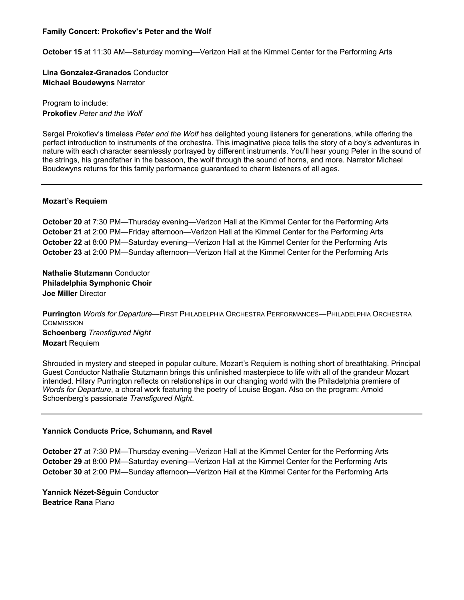## **Family Concert: Prokofiev's Peter and the Wolf**

**October 15** at 11:30 AM—Saturday morning—Verizon Hall at the Kimmel Center for the Performing Arts

**Lina Gonzalez-Granados** Conductor **Michael Boudewyns** Narrator

Program to include: **Prokofiev** *Peter and the Wolf*

Sergei Prokofiev's timeless *Peter and the Wolf* has delighted young listeners for generations, while offering the perfect introduction to instruments of the orchestra. This imaginative piece tells the story of a boy's adventures in nature with each character seamlessly portrayed by different instruments. You'll hear young Peter in the sound of the strings, his grandfather in the bassoon, the wolf through the sound of horns, and more. Narrator Michael Boudewyns returns for this family performance guaranteed to charm listeners of all ages.

## **Mozart's Requiem**

**October 20** at 7:30 PM—Thursday evening—Verizon Hall at the Kimmel Center for the Performing Arts **October 21** at 2:00 PM—Friday afternoon—Verizon Hall at the Kimmel Center for the Performing Arts **October 22** at 8:00 PM—Saturday evening—Verizon Hall at the Kimmel Center for the Performing Arts **October 23** at 2:00 PM—Sunday afternoon—Verizon Hall at the Kimmel Center for the Performing Arts

**Nathalie Stutzmann** Conductor **Philadelphia Symphonic Choir Joe Miller** Director

**Purrington** *Words for Departure*—FIRST PHILADELPHIA ORCHESTRA PERFORMANCES—PHILADELPHIA ORCHESTRA **COMMISSION Schoenberg** *Transfigured Night* **Mozart** Requiem

Shrouded in mystery and steeped in popular culture, Mozart's Requiem is nothing short of breathtaking. Principal Guest Conductor Nathalie Stutzmann brings this unfinished masterpiece to life with all of the grandeur Mozart intended. Hilary Purrington reflects on relationships in our changing world with the Philadelphia premiere of *Words for Departure*, a choral work featuring the poetry of Louise Bogan. Also on the program: Arnold Schoenberg's passionate *Transfigured Night*.

# **Yannick Conducts Price, Schumann, and Ravel**

**October 27** at 7:30 PM—Thursday evening—Verizon Hall at the Kimmel Center for the Performing Arts **October 29** at 8:00 PM—Saturday evening—Verizon Hall at the Kimmel Center for the Performing Arts **October 30** at 2:00 PM—Sunday afternoon—Verizon Hall at the Kimmel Center for the Performing Arts

**Yannick Nézet-Séguin** Conductor **Beatrice Rana** Piano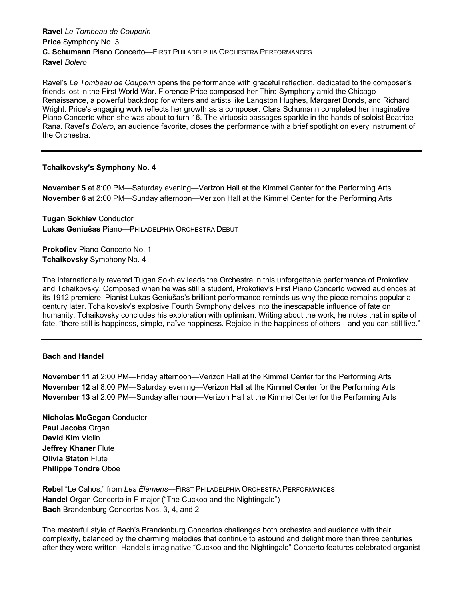**Ravel** *Le Tombeau de Couperin* **Price** Symphony No. 3 **C. Schumann** Piano Concerto—FIRST PHILADELPHIA ORCHESTRA PERFORMANCES **Ravel** *Bolero*

Ravel's *Le Tombeau de Couperin* opens the performance with graceful reflection, dedicated to the composer's friends lost in the First World War. Florence Price composed her Third Symphony amid the Chicago Renaissance, a powerful backdrop for writers and artists like Langston Hughes, Margaret Bonds, and Richard Wright. Price's engaging work reflects her growth as a composer. Clara Schumann completed her imaginative Piano Concerto when she was about to turn 16. The virtuosic passages sparkle in the hands of soloist Beatrice Rana. Ravel's *Bolero*, an audience favorite, closes the performance with a brief spotlight on every instrument of the Orchestra.

#### **Tchaikovsky's Symphony No. 4**

**November 5** at 8:00 PM—Saturday evening—Verizon Hall at the Kimmel Center for the Performing Arts **November 6** at 2:00 PM—Sunday afternoon—Verizon Hall at the Kimmel Center for the Performing Arts

**Tugan Sokhiev** Conductor **Lukas Geniušas** Piano—PHILADELPHIA ORCHESTRA DEBUT

**Prokofiev** Piano Concerto No. 1 **Tchaikovsky** Symphony No. 4

The internationally revered Tugan Sokhiev leads the Orchestra in this unforgettable performance of Prokofiev and Tchaikovsky. Composed when he was still a student, Prokofiev's First Piano Concerto wowed audiences at its 1912 premiere. Pianist Lukas Geniušas's brilliant performance reminds us why the piece remains popular a century later. Tchaikovsky's explosive Fourth Symphony delves into the inescapable influence of fate on humanity. Tchaikovsky concludes his exploration with optimism. Writing about the work, he notes that in spite of fate, "there still is happiness, simple, naïve happiness. Rejoice in the happiness of others—and you can still live."

#### **Bach and Handel**

**November 11** at 2:00 PM—Friday afternoon—Verizon Hall at the Kimmel Center for the Performing Arts **November 12** at 8:00 PM—Saturday evening—Verizon Hall at the Kimmel Center for the Performing Arts **November 13** at 2:00 PM—Sunday afternoon—Verizon Hall at the Kimmel Center for the Performing Arts

**Nicholas McGegan** Conductor **Paul Jacobs** Organ **David Kim** Violin **Jeffrey Khaner** Flute **Olivia Staton** Flute **Philippe Tondre** Oboe

**Rebel** "Le Cahos," from *Les Élémens*—FIRST PHILADELPHIA ORCHESTRA PERFORMANCES **Handel** Organ Concerto in F major ("The Cuckoo and the Nightingale") **Bach** Brandenburg Concertos Nos. 3, 4, and 2

The masterful style of Bach's Brandenburg Concertos challenges both orchestra and audience with their complexity, balanced by the charming melodies that continue to astound and delight more than three centuries after they were written. Handel's imaginative "Cuckoo and the Nightingale" Concerto features celebrated organist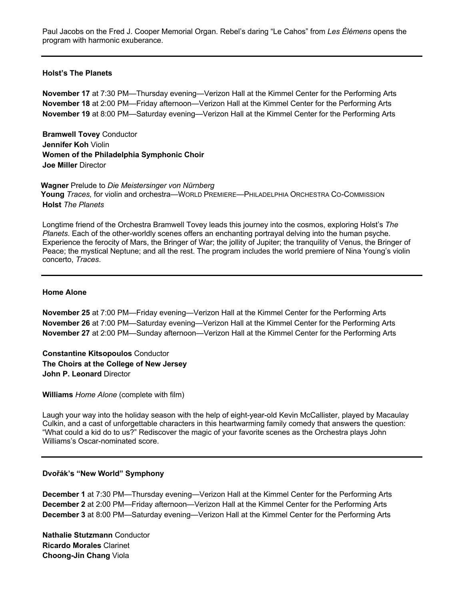Paul Jacobs on the Fred J. Cooper Memorial Organ. Rebel's daring "Le Cahos" from *Les Élémens* opens the program with harmonic exuberance.

#### **Holst's The Planets**

**November 17** at 7:30 PM—Thursday evening—Verizon Hall at the Kimmel Center for the Performing Arts **November 18** at 2:00 PM—Friday afternoon—Verizon Hall at the Kimmel Center for the Performing Arts **November 19** at 8:00 PM—Saturday evening—Verizon Hall at the Kimmel Center for the Performing Arts

**Bramwell Tovey** Conductor **Jennifer Koh** Violin **Women of the Philadelphia Symphonic Choir Joe Miller** Director

**Wagner** Prelude to *Die Meistersinger von Nürnberg* **Young** *Traces,* for violin and orchestra—WORLD PREMIERE—PHILADELPHIA ORCHESTRA CO-COMMISSION **Holst** *The Planets*

Longtime friend of the Orchestra Bramwell Tovey leads this journey into the cosmos, exploring Holst's *The Planets*. Each of the other-worldly scenes offers an enchanting portrayal delving into the human psyche. Experience the ferocity of Mars, the Bringer of War; the jollity of Jupiter; the tranquility of Venus, the Bringer of Peace; the mystical Neptune; and all the rest. The program includes the world premiere of Nina Young's violin concerto, *Traces*.

## **Home Alone**

**November 25** at 7:00 PM—Friday evening—Verizon Hall at the Kimmel Center for the Performing Arts **November 26** at 7:00 PM—Saturday evening—Verizon Hall at the Kimmel Center for the Performing Arts **November 27** at 2:00 PM—Sunday afternoon—Verizon Hall at the Kimmel Center for the Performing Arts

**Constantine Kitsopoulos** Conductor **The Choirs at the College of New Jersey John P. Leonard** Director

**Williams** *Home Alone* (complete with film)

Laugh your way into the holiday season with the help of eight-year-old Kevin McCallister, played by Macaulay Culkin, and a cast of unforgettable characters in this heartwarming family comedy that answers the question: "What could a kid do to us?" Rediscover the magic of your favorite scenes as the Orchestra plays John Williams's Oscar-nominated score.

# **Dvořák's "New World" Symphony**

**December 1** at 7:30 PM—Thursday evening—Verizon Hall at the Kimmel Center for the Performing Arts **December 2** at 2:00 PM—Friday afternoon—Verizon Hall at the Kimmel Center for the Performing Arts **December 3** at 8:00 PM—Saturday evening—Verizon Hall at the Kimmel Center for the Performing Arts

**Nathalie Stutzmann** Conductor **Ricardo Morales** Clarinet **Choong-Jin Chang** Viola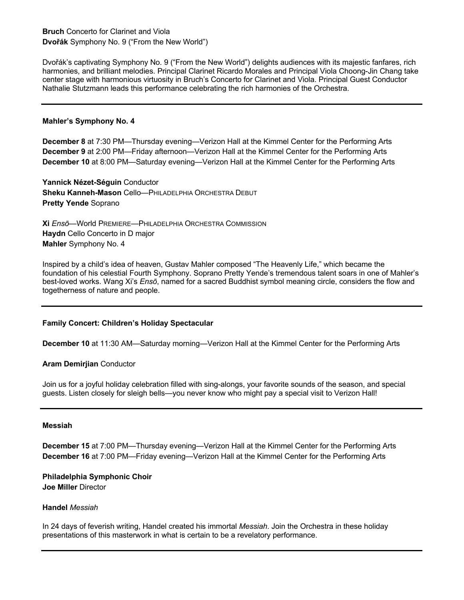# **Bruch** Concerto for Clarinet and Viola **Dvořák** Symphony No. 9 ("From the New World")

Dvořák's captivating Symphony No. 9 ("From the New World") delights audiences with its majestic fanfares, rich harmonies, and brilliant melodies. Principal Clarinet Ricardo Morales and Principal Viola Choong-Jin Chang take center stage with harmonious virtuosity in Bruch's Concerto for Clarinet and Viola. Principal Guest Conductor Nathalie Stutzmann leads this performance celebrating the rich harmonies of the Orchestra.

## **Mahler's Symphony No. 4**

**December 8** at 7:30 PM—Thursday evening—Verizon Hall at the Kimmel Center for the Performing Arts **December 9** at 2:00 PM—Friday afternoon—Verizon Hall at the Kimmel Center for the Performing Arts **December 10** at 8:00 PM—Saturday evening—Verizon Hall at the Kimmel Center for the Performing Arts

**Yannick Nézet-Séguin** Conductor **Sheku Kanneh-Mason** Cello—PHILADELPHIA ORCHESTRA DEBUT **Pretty Yende** Soprano

**Xi** *Ensō*—World PREMIERE—PHILADELPHIA ORCHESTRA COMMISSION **Haydn** Cello Concerto in D major **Mahler** Symphony No. 4

Inspired by a child's idea of heaven, Gustav Mahler composed "The Heavenly Life," which became the foundation of his celestial Fourth Symphony. Soprano Pretty Yende's tremendous talent soars in one of Mahler's best-loved works. Wang Xi's *Ensō*, named for a sacred Buddhist symbol meaning circle, considers the flow and togetherness of nature and people.

# **Family Concert: Children's Holiday Spectacular**

**December 10** at 11:30 AM—Saturday morning—Verizon Hall at the Kimmel Center for the Performing Arts

#### **Aram Demirjian** Conductor

Join us for a joyful holiday celebration filled with sing-alongs, your favorite sounds of the season, and special guests. Listen closely for sleigh bells—you never know who might pay a special visit to Verizon Hall!

#### **Messiah**

**December 15** at 7:00 PM—Thursday evening—Verizon Hall at the Kimmel Center for the Performing Arts **December 16** at 7:00 PM—Friday evening—Verizon Hall at the Kimmel Center for the Performing Arts

**Philadelphia Symphonic Choir Joe Miller** Director

#### **Handel** *Messiah*

In 24 days of feverish writing, Handel created his immortal *Messiah*. Join the Orchestra in these holiday presentations of this masterwork in what is certain to be a revelatory performance.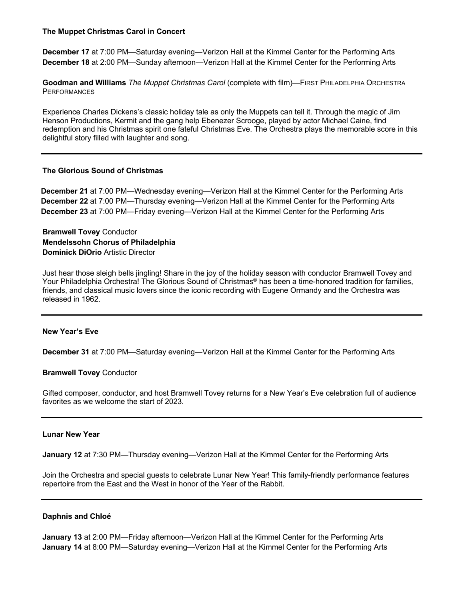## **The Muppet Christmas Carol in Concert**

**December 17** at 7:00 PM—Saturday evening—Verizon Hall at the Kimmel Center for the Performing Arts **December 18** at 2:00 PM—Sunday afternoon—Verizon Hall at the Kimmel Center for the Performing Arts

**Goodman and Williams** *The Muppet Christmas Carol* (complete with film)—FIRST PHILADELPHIA ORCHESTRA **PERFORMANCES** 

Experience Charles Dickens's classic holiday tale as only the Muppets can tell it. Through the magic of Jim Henson Productions, Kermit and the gang help Ebenezer Scrooge, played by actor Michael Caine, find redemption and his Christmas spirit one fateful Christmas Eve. The Orchestra plays the memorable score in this delightful story filled with laughter and song.

# **The Glorious Sound of Christmas**

**December 21** at 7:00 PM—Wednesday evening—Verizon Hall at the Kimmel Center for the Performing Arts **December 22** at 7:00 PM—Thursday evening—Verizon Hall at the Kimmel Center for the Performing Arts **December 23** at 7:00 PM—Friday evening—Verizon Hall at the Kimmel Center for the Performing Arts

**Bramwell Tovey** Conductor **Mendelssohn Chorus of Philadelphia Dominick DiOrio** Artistic Director

Just hear those sleigh bells jingling! Share in the joy of the holiday season with conductor Bramwell Tovey and Your Philadelphia Orchestra! The Glorious Sound of Christmas<sup>®</sup> has been a time-honored tradition for families, friends, and classical music lovers since the iconic recording with Eugene Ormandy and the Orchestra was released in 1962.

#### **New Year's Eve**

**December 31** at 7:00 PM—Saturday evening—Verizon Hall at the Kimmel Center for the Performing Arts

#### **Bramwell Tovey** Conductor

Gifted composer, conductor, and host Bramwell Tovey returns for a New Year's Eve celebration full of audience favorites as we welcome the start of 2023.

## **Lunar New Year**

**January 12** at 7:30 PM—Thursday evening—Verizon Hall at the Kimmel Center for the Performing Arts

Join the Orchestra and special guests to celebrate Lunar New Year! This family-friendly performance features repertoire from the East and the West in honor of the Year of the Rabbit.

#### **Daphnis and Chloé**

**January 13** at 2:00 PM—Friday afternoon—Verizon Hall at the Kimmel Center for the Performing Arts **January 14** at 8:00 PM—Saturday evening—Verizon Hall at the Kimmel Center for the Performing Arts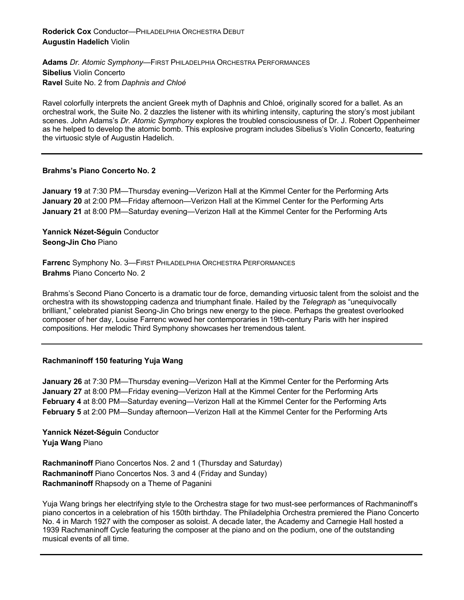**Adams** *Dr. Atomic Symphony*—FIRST PHILADELPHIA ORCHESTRA PERFORMANCES **Sibelius** Violin Concerto **Ravel** Suite No. 2 from *Daphnis and Chloé*

Ravel colorfully interprets the ancient Greek myth of Daphnis and Chloé, originally scored for a ballet. As an orchestral work, the Suite No. 2 dazzles the listener with its whirling intensity, capturing the story's most jubilant scenes. John Adams's *Dr. Atomic Symphony* explores the troubled consciousness of Dr. J. Robert Oppenheimer as he helped to develop the atomic bomb. This explosive program includes Sibelius's Violin Concerto, featuring the virtuosic style of Augustin Hadelich.

# **Brahms's Piano Concerto No. 2**

**January 19** at 7:30 PM—Thursday evening—Verizon Hall at the Kimmel Center for the Performing Arts **January 20** at 2:00 PM—Friday afternoon—Verizon Hall at the Kimmel Center for the Performing Arts **January 21** at 8:00 PM—Saturday evening—Verizon Hall at the Kimmel Center for the Performing Arts

**Yannick Nézet-Séguin** Conductor **Seong-Jin Cho** Piano

**Farrenc** Symphony No. 3—FIRST PHILADELPHIA ORCHESTRA PERFORMANCES **Brahms** Piano Concerto No. 2

Brahms's Second Piano Concerto is a dramatic tour de force, demanding virtuosic talent from the soloist and the orchestra with its showstopping cadenza and triumphant finale. Hailed by the *Telegraph* as "unequivocally brilliant," celebrated pianist Seong-Jin Cho brings new energy to the piece. Perhaps the greatest overlooked composer of her day, Louise Farrenc wowed her contemporaries in 19th-century Paris with her inspired compositions. Her melodic Third Symphony showcases her tremendous talent.

# **Rachmaninoff 150 featuring Yuja Wang**

**January 26** at 7:30 PM—Thursday evening—Verizon Hall at the Kimmel Center for the Performing Arts **January 27** at 8:00 PM—Friday evening—Verizon Hall at the Kimmel Center for the Performing Arts **February 4** at 8:00 PM—Saturday evening—Verizon Hall at the Kimmel Center for the Performing Arts **February 5** at 2:00 PM—Sunday afternoon—Verizon Hall at the Kimmel Center for the Performing Arts

**Yannick Nézet-Séguin** Conductor **Yuja Wang** Piano

**Rachmaninoff** Piano Concertos Nos. 2 and 1 (Thursday and Saturday) **Rachmaninoff** Piano Concertos Nos. 3 and 4 (Friday and Sunday) **Rachmaninoff** Rhapsody on a Theme of Paganini

Yuja Wang brings her electrifying style to the Orchestra stage for two must-see performances of Rachmaninoff's piano concertos in a celebration of his 150th birthday. The Philadelphia Orchestra premiered the Piano Concerto No. 4 in March 1927 with the composer as soloist. A decade later, the Academy and Carnegie Hall hosted a 1939 Rachmaninoff Cycle featuring the composer at the piano and on the podium, one of the outstanding musical events of all time.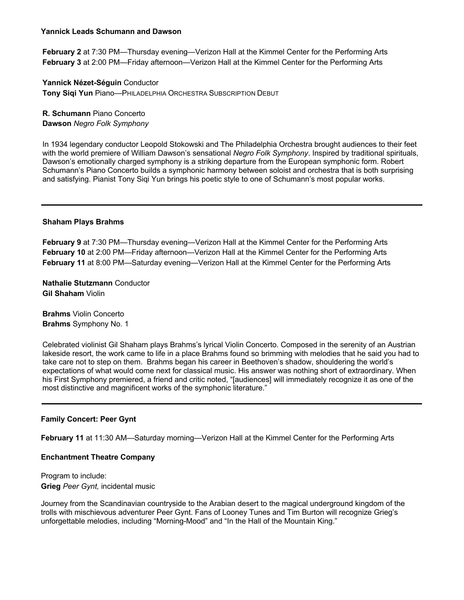## **Yannick Leads Schumann and Dawson**

**February 2** at 7:30 PM—Thursday evening—Verizon Hall at the Kimmel Center for the Performing Arts **February 3** at 2:00 PM—Friday afternoon—Verizon Hall at the Kimmel Center for the Performing Arts

**Yannick Nézet-Séguin** Conductor **Tony Siqi Yun** Piano—PHILADELPHIA ORCHESTRA SUBSCRIPTION DEBUT

**R. Schumann** Piano Concerto **Dawson** *Negro Folk Symphony*

In 1934 legendary conductor Leopold Stokowski and The Philadelphia Orchestra brought audiences to their feet with the world premiere of William Dawson's sensational *Negro Folk Symphony*. Inspired by traditional spirituals, Dawson's emotionally charged symphony is a striking departure from the European symphonic form. Robert Schumann's Piano Concerto builds a symphonic harmony between soloist and orchestra that is both surprising and satisfying. Pianist Tony Siqi Yun brings his poetic style to one of Schumann's most popular works.

## **Shaham Plays Brahms**

**February 9** at 7:30 PM—Thursday evening—Verizon Hall at the Kimmel Center for the Performing Arts **February 10** at 2:00 PM—Friday afternoon—Verizon Hall at the Kimmel Center for the Performing Arts **February 11** at 8:00 PM—Saturday evening—Verizon Hall at the Kimmel Center for the Performing Arts

**Nathalie Stutzmann** Conductor **Gil Shaham** Violin

**Brahms** Violin Concerto **Brahms** Symphony No. 1

Celebrated violinist Gil Shaham plays Brahms's lyrical Violin Concerto. Composed in the serenity of an Austrian lakeside resort, the work came to life in a place Brahms found so brimming with melodies that he said you had to take care not to step on them. Brahms began his career in Beethoven's shadow, shouldering the world's expectations of what would come next for classical music. His answer was nothing short of extraordinary. When his First Symphony premiered, a friend and critic noted, "[audiences] will immediately recognize it as one of the most distinctive and magnificent works of the symphonic literature."

# **Family Concert: Peer Gynt**

**February 11** at 11:30 AM—Saturday morning—Verizon Hall at the Kimmel Center for the Performing Arts

#### **Enchantment Theatre Company**

Program to include: **Grieg** *Peer Gynt,* incidental music

Journey from the Scandinavian countryside to the Arabian desert to the magical underground kingdom of the trolls with mischievous adventurer Peer Gynt. Fans of Looney Tunes and Tim Burton will recognize Grieg's unforgettable melodies, including "Morning-Mood" and "In the Hall of the Mountain King."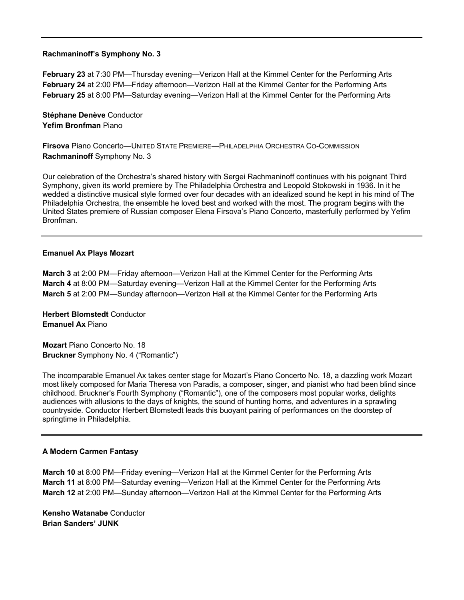#### **Rachmaninoff's Symphony No. 3**

**February 23** at 7:30 PM—Thursday evening—Verizon Hall at the Kimmel Center for the Performing Arts **February 24** at 2:00 PM—Friday afternoon—Verizon Hall at the Kimmel Center for the Performing Arts **February 25** at 8:00 PM—Saturday evening—Verizon Hall at the Kimmel Center for the Performing Arts

**Stéphane Denève** Conductor **Yefim Bronfman** Piano

**Firsova** Piano Concerto—UNITED STATE PREMIERE—PHILADELPHIA ORCHESTRA CO-COMMISSION **Rachmaninoff** Symphony No. 3

Our celebration of the Orchestra's shared history with Sergei Rachmaninoff continues with his poignant Third Symphony, given its world premiere by The Philadelphia Orchestra and Leopold Stokowski in 1936. In it he wedded a distinctive musical style formed over four decades with an idealized sound he kept in his mind of The Philadelphia Orchestra, the ensemble he loved best and worked with the most. The program begins with the United States premiere of Russian composer Elena Firsova's Piano Concerto, masterfully performed by Yefim Bronfman.

#### **Emanuel Ax Plays Mozart**

**March 3** at 2:00 PM—Friday afternoon—Verizon Hall at the Kimmel Center for the Performing Arts **March 4** at 8:00 PM—Saturday evening—Verizon Hall at the Kimmel Center for the Performing Arts **March 5** at 2:00 PM—Sunday afternoon—Verizon Hall at the Kimmel Center for the Performing Arts

**Herbert Blomstedt** Conductor **Emanuel Ax** Piano

**Mozart** Piano Concerto No. 18 **Bruckner** Symphony No. 4 ("Romantic")

The incomparable Emanuel Ax takes center stage for Mozart's Piano Concerto No. 18, a dazzling work Mozart most likely composed for Maria Theresa von Paradis, a composer, singer, and pianist who had been blind since childhood. Bruckner's Fourth Symphony ("Romantic"), one of the composers most popular works, delights audiences with allusions to the days of knights, the sound of hunting horns, and adventures in a sprawling countryside. Conductor Herbert Blomstedt leads this buoyant pairing of performances on the doorstep of springtime in Philadelphia.

# **A Modern Carmen Fantasy**

**March 10** at 8:00 PM—Friday evening—Verizon Hall at the Kimmel Center for the Performing Arts **March 11** at 8:00 PM—Saturday evening—Verizon Hall at the Kimmel Center for the Performing Arts **March 12** at 2:00 PM—Sunday afternoon—Verizon Hall at the Kimmel Center for the Performing Arts

**Kensho Watanabe** Conductor **Brian Sanders' JUNK**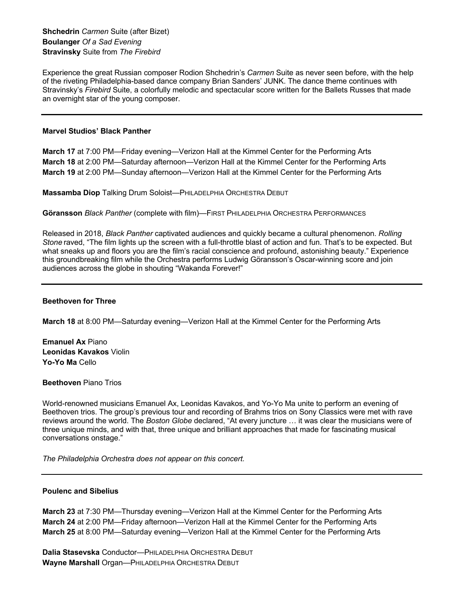**Shchedrin** *Carmen* Suite (after Bizet) **Boulanger** *Of a Sad Evening* **Stravinsky** Suite from *The Firebird*

Experience the great Russian composer Rodion Shchedrin's *Carmen* Suite as never seen before, with the help of the riveting Philadelphia-based dance company Brian Sanders' JUNK. The dance theme continues with Stravinsky's *Firebird* Suite, a colorfully melodic and spectacular score written for the Ballets Russes that made an overnight star of the young composer.

#### **Marvel Studios' Black Panther**

**March 17** at 7:00 PM—Friday evening—Verizon Hall at the Kimmel Center for the Performing Arts **March 18** at 2:00 PM—Saturday afternoon—Verizon Hall at the Kimmel Center for the Performing Arts **March 19** at 2:00 PM—Sunday afternoon—Verizon Hall at the Kimmel Center for the Performing Arts

**Massamba Diop** Talking Drum Soloist—PHILADELPHIA ORCHESTRA DEBUT

**Göransson** *Black Panther* (complete with film)—FIRST PHILADELPHIA ORCHESTRA PERFORMANCES

Released in 2018, *Black Panther* captivated audiences and quickly became a cultural phenomenon. *Rolling Stone* raved, "The film lights up the screen with a full-throttle blast of action and fun. That's to be expected. But what sneaks up and floors you are the film's racial conscience and profound, astonishing beauty." Experience this groundbreaking film while the Orchestra performs Ludwig Göransson's Oscar-winning score and join audiences across the globe in shouting "Wakanda Forever!"

### **Beethoven for Three**

**March 18** at 8:00 PM—Saturday evening—Verizon Hall at the Kimmel Center for the Performing Arts

**Emanuel Ax** Piano **Leonidas Kavakos** Violin **Yo-Yo Ma** Cello

**Beethoven** Piano Trios

World-renowned musicians Emanuel Ax, Leonidas Kavakos, and Yo-Yo Ma unite to perform an evening of Beethoven trios. The group's previous tour and recording of Brahms trios on Sony Classics were met with rave reviews around the world. The *Boston Globe* declared, "At every juncture … it was clear the musicians were of three unique minds, and with that, three unique and brilliant approaches that made for fascinating musical conversations onstage."

*The Philadelphia Orchestra does not appear on this concert.*

#### **Poulenc and Sibelius**

**March 23** at 7:30 PM—Thursday evening—Verizon Hall at the Kimmel Center for the Performing Arts **March 24** at 2:00 PM—Friday afternoon—Verizon Hall at the Kimmel Center for the Performing Arts **March 25** at 8:00 PM—Saturday evening—Verizon Hall at the Kimmel Center for the Performing Arts

**Dalia Stasevska** Conductor—PHILADELPHIA ORCHESTRA DEBUT **Wayne Marshall** Organ—PHILADELPHIA ORCHESTRA DEBUT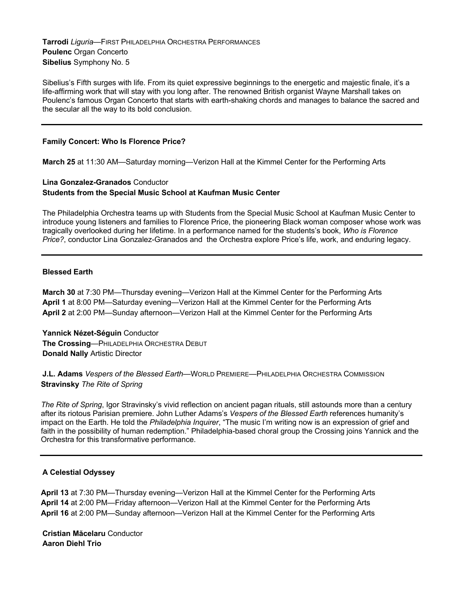**Tarrodi** *Liguria*—FIRST PHILADELPHIA ORCHESTRA PERFORMANCES **Poulenc** Organ Concerto **Sibelius** Symphony No. 5

Sibelius's Fifth surges with life. From its quiet expressive beginnings to the energetic and majestic finale, it's a life-affirming work that will stay with you long after. The renowned British organist Wayne Marshall takes on Poulenc's famous Organ Concerto that starts with earth-shaking chords and manages to balance the sacred and the secular all the way to its bold conclusion.

### **Family Concert: Who Is Florence Price?**

**March 25** at 11:30 AM—Saturday morning—Verizon Hall at the Kimmel Center for the Performing Arts

# **Lina Gonzalez-Granados** Conductor **Students from the Special Music School at Kaufman Music Center**

The Philadelphia Orchestra teams up with Students from the Special Music School at Kaufman Music Center to introduce young listeners and families to Florence Price, the pioneering Black woman composer whose work was tragically overlooked during her lifetime. In a performance named for the students's book, *Who is Florence Price?*, conductor Lina Gonzalez-Granados and the Orchestra explore Price's life, work, and enduring legacy.

## **Blessed Earth**

**March 30** at 7:30 PM—Thursday evening—Verizon Hall at the Kimmel Center for the Performing Arts **April 1** at 8:00 PM—Saturday evening—Verizon Hall at the Kimmel Center for the Performing Arts **April 2** at 2:00 PM—Sunday afternoon—Verizon Hall at the Kimmel Center for the Performing Arts

**Yannick Nézet-Séguin** Conductor **The Crossing**—PHILADELPHIA ORCHESTRA DEBUT **Donald Nally** Artistic Director

**J.L. Adams** *Vespers of the Blessed Earth*—WORLD PREMIERE—PHILADELPHIA ORCHESTRA COMMISSION **Stravinsky** *The Rite of Spring*

*The Rite of Spring*, Igor Stravinsky's vivid reflection on ancient pagan rituals, still astounds more than a century after its riotous Parisian premiere. John Luther Adams's *Vespers of the Blessed Earth* references humanity's impact on the Earth. He told the *Philadelphia Inquirer*, "The music I'm writing now is an expression of grief and faith in the possibility of human redemption." Philadelphia-based choral group the Crossing joins Yannick and the Orchestra for this transformative performance.

# **A Celestial Odyssey**

**April 13** at 7:30 PM—Thursday evening—Verizon Hall at the Kimmel Center for the Performing Arts **April 14** at 2:00 PM—Friday afternoon—Verizon Hall at the Kimmel Center for the Performing Arts **April 16** at 2:00 PM—Sunday afternoon—Verizon Hall at the Kimmel Center for the Performing Arts

**Cristian Măcelaru** Conductor **Aaron Diehl Trio**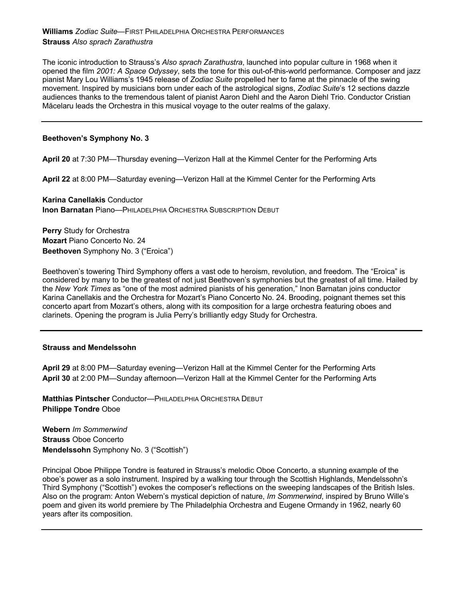**Williams** *Zodiac Suite*—FIRST PHILADELPHIA ORCHESTRA PERFORMANCES **Strauss** *Also sprach Zarathustra*

The iconic introduction to Strauss's *Also sprach Zarathustra*, launched into popular culture in 1968 when it opened the film *2001: A Space Odyssey*, sets the tone for this out-of-this-world performance. Composer and jazz pianist Mary Lou Williams's 1945 release of *Zodiac Suite* propelled her to fame at the pinnacle of the swing movement. Inspired by musicians born under each of the astrological signs, *Zodiac Suite*'s 12 sections dazzle audiences thanks to the tremendous talent of pianist Aaron Diehl and the Aaron Diehl Trio. Conductor Cristian Măcelaru leads the Orchestra in this musical voyage to the outer realms of the galaxy.

## **Beethoven's Symphony No. 3**

**April 20** at 7:30 PM—Thursday evening—Verizon Hall at the Kimmel Center for the Performing Arts

**April 22** at 8:00 PM—Saturday evening—Verizon Hall at the Kimmel Center for the Performing Arts

**Karina Canellakis** Conductor **Inon Barnatan Piano—PHILADELPHIA ORCHESTRA SUBSCRIPTION DEBUT** 

**Perry** Study for Orchestra **Mozart** Piano Concerto No. 24 **Beethoven** Symphony No. 3 ("Eroica")

Beethoven's towering Third Symphony offers a vast ode to heroism, revolution, and freedom. The "Eroica" is considered by many to be the greatest of not just Beethoven's symphonies but the greatest of all time. Hailed by the *New York Times* as "one of the most admired pianists of his generation," Inon Barnatan joins conductor Karina Canellakis and the Orchestra for Mozart's Piano Concerto No. 24. Brooding, poignant themes set this concerto apart from Mozart's others, along with its composition for a large orchestra featuring oboes and clarinets. Opening the program is Julia Perry's brilliantly edgy Study for Orchestra.

#### **Strauss and Mendelssohn**

**April 29** at 8:00 PM—Saturday evening—Verizon Hall at the Kimmel Center for the Performing Arts **April 30** at 2:00 PM—Sunday afternoon—Verizon Hall at the Kimmel Center for the Performing Arts

**Matthias Pintscher** Conductor—PHILADELPHIA ORCHESTRA DEBUT **Philippe Tondre** Oboe

**Webern** *Im Sommerwind* **Strauss** Oboe Concerto **Mendelssohn** Symphony No. 3 ("Scottish")

Principal Oboe Philippe Tondre is featured in Strauss's melodic Oboe Concerto, a stunning example of the oboe's power as a solo instrument. Inspired by a walking tour through the Scottish Highlands, Mendelssohn's Third Symphony ("Scottish") evokes the composer's reflections on the sweeping landscapes of the British Isles. Also on the program: Anton Webern's mystical depiction of nature, *Im Sommerwind*, inspired by Bruno Wille's poem and given its world premiere by The Philadelphia Orchestra and Eugene Ormandy in 1962, nearly 60 years after its composition.